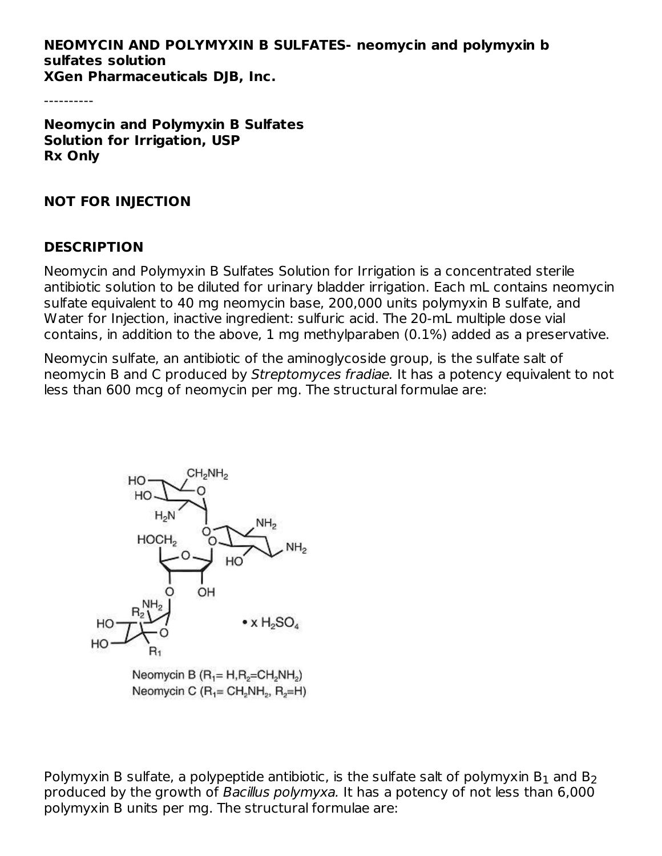#### **NEOMYCIN AND POLYMYXIN B SULFATES- neomycin and polymyxin b sulfates solution XGen Pharmaceuticals DJB, Inc.**

----------

**Neomycin and Polymyxin B Sulfates Solution for Irrigation, USP Rx Only**

#### **NOT FOR INJECTION**

#### **DESCRIPTION**

Neomycin and Polymyxin B Sulfates Solution for Irrigation is a concentrated sterile antibiotic solution to be diluted for urinary bladder irrigation. Each mL contains neomycin sulfate equivalent to 40 mg neomycin base, 200,000 units polymyxin B sulfate, and Water for Injection, inactive ingredient: sulfuric acid. The 20-mL multiple dose vial contains, in addition to the above, 1 mg methylparaben (0.1%) added as a preservative.

Neomycin sulfate, an antibiotic of the aminoglycoside group, is the sulfate salt of neomycin B and C produced by Streptomyces fradiae. It has a potency equivalent to not less than 600 mcg of neomycin per mg. The structural formulae are:



Neomycin B  $(R_1 = H, R_2 = CH_2NH_2)$ Neomycin C  $(R_1 = CH_2NH_2, R_2=H)$ 

Polymyxin B sulfate, a polypeptide antibiotic, is the sulfate salt of polymyxin  $\mathsf{B}_1$  and  $\mathsf{B}_2$ produced by the growth of Bacillus polymyxa. It has a potency of not less than 6,000 polymyxin B units per mg. The structural formulae are: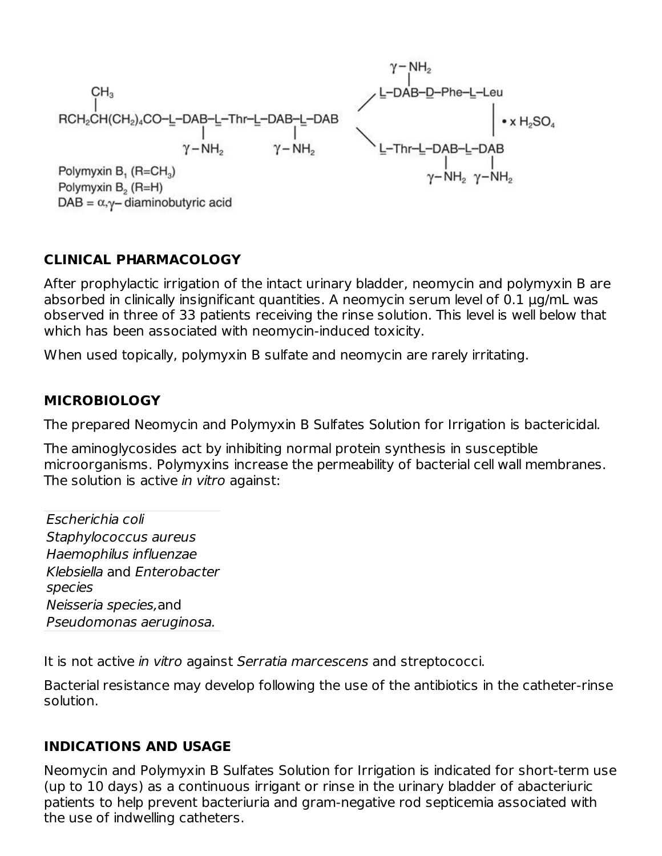| \n $\begin{array}{r}\n \begin{array}{r}\n \begin{array}{r}\n \begin{array}{r}\n \begin{array}{r}\n \end{array} \\ \begin{array}{r}\n \end{array} \\ \begin{array}{r}\n \begin{array}{r}\n \end{array} \\ \begin{array}{r}\n \end{array} \\ \begin{array}{r}\n \begin{array}{r}\n \end{array} \\ \begin{array}{r}\n \end{array} \\ \begin{array}{r}\n \begin{array}{r}\n \end{array} \\ \begin{array}{r}\n \end{array} \\ \begin{array}{r}\n \end{array} \\ \begin{array}{r}\n \begin{array}{r}\n \end{array} \\ \begin{array}{r}\n \end{array} \\ \begin{array}{r}\n \end{array} \\ \begin{array}{r}\n \begin{array}{r}\n \end{array} \\ \begin{array}{r}\n \end{array} \\ \begin{array}{r}\n \end{array} \\ \begin{array}{r}\n \end{array} \\ \begin{array}{r}\n \begin{array}{r}\n \end{array} \\ \begin{array}{r}\n \end{array} \\ \begin{array}{r}\n \end{array} \\ \begin{array}{r}\n \begin{array}{r}\n \end{array} \\ \begin{array}{r}\n \end{array} \\ \begin{array}{r}\n \begin{array}{r}\n \end{array} \\ \begin{array}{r}\n \end{array} \\ \begin{array}{r}\n \begin{array}{r}\n \end{array} \\ \begin{array}{r}\n \end{array} \\ \begin{array}{r}\n \begin{array}{r}\n \end{array} \\ \begin{array}{r}\n \end{array} \\ \begin{array}{r}\n \begin{array}{r}\n \end{array} \\ \begin{array}{r}\n \end{array} \\ \begin{array}{r}\n \end{array} \\ \begin{array}{r}\n \begin{array}{r}\n \end{array} \\ \begin{array}{r}\n \end{array} \\ \begin{array}{r}\n \begin{array}{r}\n \end{array} \\ \begin{array}{r}\n \end{array} \\ \begin{array}{r}\n \begin{array}{r}\n \end{array} \\ \begin{array}{r}\n \end{array} \\ \begin{array}{r}\n \begin{array}{r}\n \end{array} \\ \begin{array}{r}\n \end{array} \\ \begin{array}{r}\n \begin{array}{r}\n \end{array} \\ \begin{array}{r}\n \begin{array}{r}\n \end{array} \\ \begin{array}{r}\n \end{array} \\ \begin{array}{r}\n \$ |
|--------------------------------------------------------------------------------------------------------------------------------------------------------------------------------------------------------------------------------------------------------------------------------------------------------------------------------------------------------------------------------------------------------------------------------------------------------------------------------------------------------------------------------------------------------------------------------------------------------------------------------------------------------------------------------------------------------------------------------------------------------------------------------------------------------------------------------------------------------------------------------------------------------------------------------------------------------------------------------------------------------------------------------------------------------------------------------------------------------------------------------------------------------------------------------------------------------------------------------------------------------------------------------------------------------------------------------------------------------------------------------------------------------------------------------------------------------------------------------------------------------------------------------------------------------------------------------------------------------------------------------------------------------------------------------------------------------------------------------------------------------------------------------------------------------------------------------------------------------------------------------------------|
|--------------------------------------------------------------------------------------------------------------------------------------------------------------------------------------------------------------------------------------------------------------------------------------------------------------------------------------------------------------------------------------------------------------------------------------------------------------------------------------------------------------------------------------------------------------------------------------------------------------------------------------------------------------------------------------------------------------------------------------------------------------------------------------------------------------------------------------------------------------------------------------------------------------------------------------------------------------------------------------------------------------------------------------------------------------------------------------------------------------------------------------------------------------------------------------------------------------------------------------------------------------------------------------------------------------------------------------------------------------------------------------------------------------------------------------------------------------------------------------------------------------------------------------------------------------------------------------------------------------------------------------------------------------------------------------------------------------------------------------------------------------------------------------------------------------------------------------------------------------------------------------------|

 $\cdots$ 

### **CLINICAL PHARMACOLOGY**

After prophylactic irrigation of the intact urinary bladder, neomycin and polymyxin B are absorbed in clinically insignificant quantities. A neomycin serum level of 0.1 μg/mL was observed in three of 33 patients receiving the rinse solution. This level is well below that which has been associated with neomycin-induced toxicity.

When used topically, polymyxin B sulfate and neomycin are rarely irritating.

#### **MICROBIOLOGY**

The prepared Neomycin and Polymyxin B Sulfates Solution for Irrigation is bactericidal.

The aminoglycosides act by inhibiting normal protein synthesis in susceptible microorganisms. Polymyxins increase the permeability of bacterial cell wall membranes. The solution is active *in vitro* against:

Escherichia coli Staphylococcus aureus Haemophilus influenzae Klebsiella and Enterobacter species Neisseria species,and Pseudomonas aeruginosa.

It is not active in vitro against Serratia marcescens and streptococci.

Bacterial resistance may develop following the use of the antibiotics in the catheter-rinse solution.

### **INDICATIONS AND USAGE**

Neomycin and Polymyxin B Sulfates Solution for Irrigation is indicated for short-term use (up to 10 days) as a continuous irrigant or rinse in the urinary bladder of abacteriuric patients to help prevent bacteriuria and gram-negative rod septicemia associated with the use of indwelling catheters.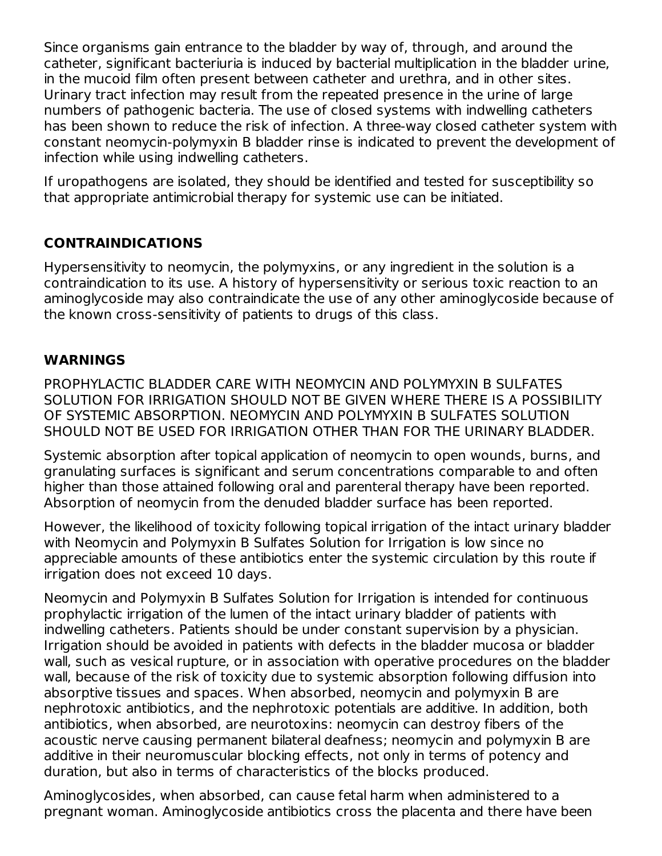Since organisms gain entrance to the bladder by way of, through, and around the catheter, significant bacteriuria is induced by bacterial multiplication in the bladder urine, in the mucoid film often present between catheter and urethra, and in other sites. Urinary tract infection may result from the repeated presence in the urine of large numbers of pathogenic bacteria. The use of closed systems with indwelling catheters has been shown to reduce the risk of infection. A three-way closed catheter system with constant neomycin-polymyxin B bladder rinse is indicated to prevent the development of infection while using indwelling catheters.

If uropathogens are isolated, they should be identified and tested for susceptibility so that appropriate antimicrobial therapy for systemic use can be initiated.

# **CONTRAINDICATIONS**

Hypersensitivity to neomycin, the polymyxins, or any ingredient in the solution is a contraindication to its use. A history of hypersensitivity or serious toxic reaction to an aminoglycoside may also contraindicate the use of any other aminoglycoside because of the known cross-sensitivity of patients to drugs of this class.

## **WARNINGS**

PROPHYLACTIC BLADDER CARE WITH NEOMYCIN AND POLYMYXIN B SULFATES SOLUTION FOR IRRIGATION SHOULD NOT BE GIVEN WHERE THERE IS A POSSIBILITY OF SYSTEMIC ABSORPTION. NEOMYCIN AND POLYMYXIN B SULFATES SOLUTION SHOULD NOT BE USED FOR IRRIGATION OTHER THAN FOR THE URINARY BLADDER.

Systemic absorption after topical application of neomycin to open wounds, burns, and granulating surfaces is significant and serum concentrations comparable to and often higher than those attained following oral and parenteral therapy have been reported. Absorption of neomycin from the denuded bladder surface has been reported.

However, the likelihood of toxicity following topical irrigation of the intact urinary bladder with Neomycin and Polymyxin B Sulfates Solution for Irrigation is low since no appreciable amounts of these antibiotics enter the systemic circulation by this route if irrigation does not exceed 10 days.

Neomycin and Polymyxin B Sulfates Solution for Irrigation is intended for continuous prophylactic irrigation of the lumen of the intact urinary bladder of patients with indwelling catheters. Patients should be under constant supervision by a physician. Irrigation should be avoided in patients with defects in the bladder mucosa or bladder wall, such as vesical rupture, or in association with operative procedures on the bladder wall, because of the risk of toxicity due to systemic absorption following diffusion into absorptive tissues and spaces. When absorbed, neomycin and polymyxin B are nephrotoxic antibiotics, and the nephrotoxic potentials are additive. In addition, both antibiotics, when absorbed, are neurotoxins: neomycin can destroy fibers of the acoustic nerve causing permanent bilateral deafness; neomycin and polymyxin B are additive in their neuromuscular blocking effects, not only in terms of potency and duration, but also in terms of characteristics of the blocks produced.

Aminoglycosides, when absorbed, can cause fetal harm when administered to a pregnant woman. Aminoglycoside antibiotics cross the placenta and there have been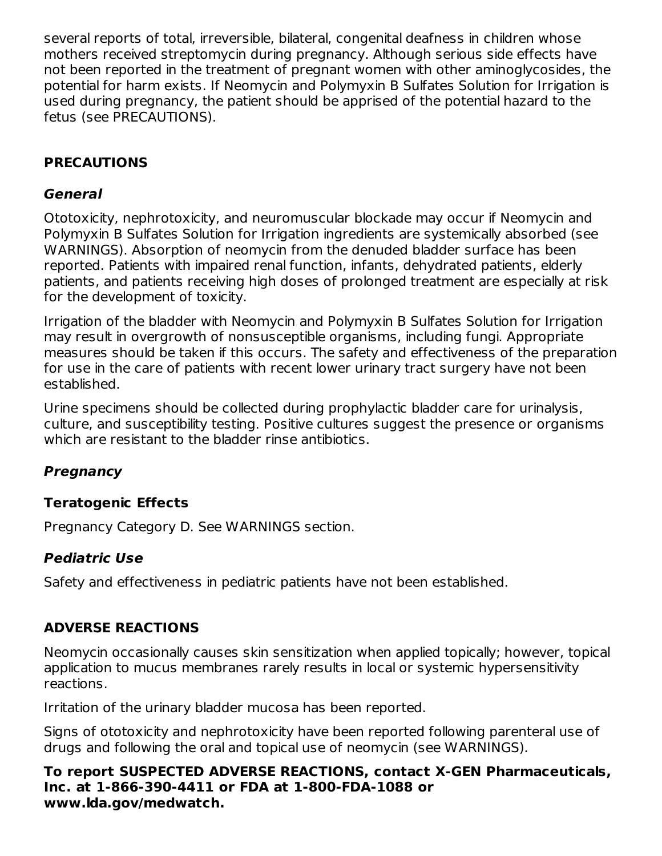several reports of total, irreversible, bilateral, congenital deafness in children whose mothers received streptomycin during pregnancy. Although serious side effects have not been reported in the treatment of pregnant women with other aminoglycosides, the potential for harm exists. If Neomycin and Polymyxin B Sulfates Solution for Irrigation is used during pregnancy, the patient should be apprised of the potential hazard to the fetus (see PRECAUTIONS).

# **PRECAUTIONS**

# **General**

Ototoxicity, nephrotoxicity, and neuromuscular blockade may occur if Neomycin and Polymyxin B Sulfates Solution for Irrigation ingredients are systemically absorbed (see WARNINGS). Absorption of neomycin from the denuded bladder surface has been reported. Patients with impaired renal function, infants, dehydrated patients, elderly patients, and patients receiving high doses of prolonged treatment are especially at risk for the development of toxicity.

Irrigation of the bladder with Neomycin and Polymyxin B Sulfates Solution for Irrigation may result in overgrowth of nonsusceptible organisms, including fungi. Appropriate measures should be taken if this occurs. The safety and effectiveness of the preparation for use in the care of patients with recent lower urinary tract surgery have not been established.

Urine specimens should be collected during prophylactic bladder care for urinalysis, culture, and susceptibility testing. Positive cultures suggest the presence or organisms which are resistant to the bladder rinse antibiotics.

# **Pregnancy**

# **Teratogenic Effects**

Pregnancy Category D. See WARNINGS section.

# **Pediatric Use**

Safety and effectiveness in pediatric patients have not been established.

# **ADVERSE REACTIONS**

Neomycin occasionally causes skin sensitization when applied topically; however, topical application to mucus membranes rarely results in local or systemic hypersensitivity reactions.

Irritation of the urinary bladder mucosa has been reported.

Signs of ototoxicity and nephrotoxicity have been reported following parenteral use of drugs and following the oral and topical use of neomycin (see WARNINGS).

**To report SUSPECTED ADVERSE REACTIONS, contact X-GEN Pharmaceuticals, Inc. at 1-866-390-4411 or FDA at 1-800-FDA-1088 or www.lda.gov/medwatch.**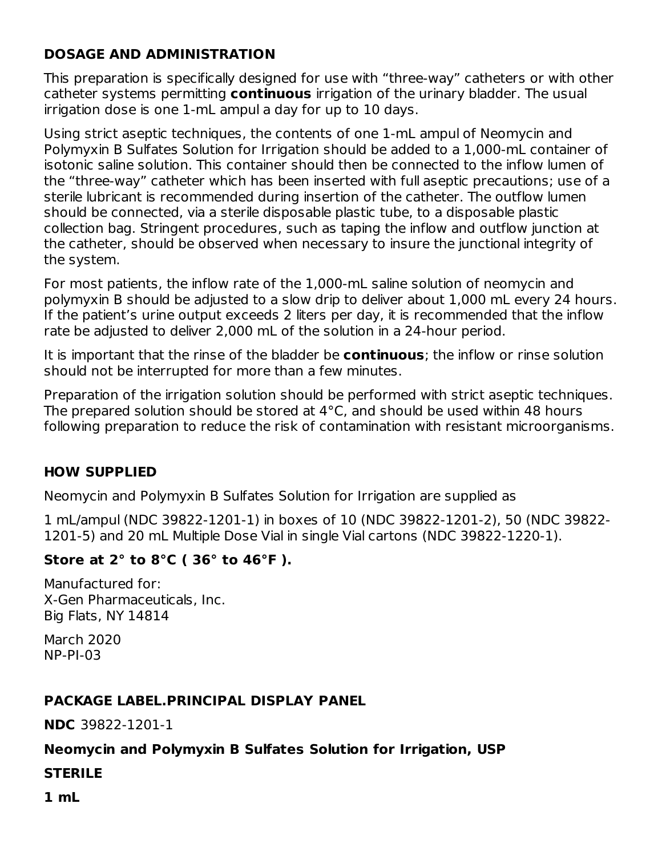# **DOSAGE AND ADMINISTRATION**

This preparation is specifically designed for use with "three-way" catheters or with other catheter systems permitting **continuous** irrigation of the urinary bladder. The usual irrigation dose is one 1-mL ampul a day for up to 10 days.

Using strict aseptic techniques, the contents of one 1-mL ampul of Neomycin and Polymyxin B Sulfates Solution for Irrigation should be added to a 1,000-mL container of isotonic saline solution. This container should then be connected to the inflow lumen of the "three-way" catheter which has been inserted with full aseptic precautions; use of a sterile lubricant is recommended during insertion of the catheter. The outflow lumen should be connected, via a sterile disposable plastic tube, to a disposable plastic collection bag. Stringent procedures, such as taping the inflow and outflow junction at the catheter, should be observed when necessary to insure the junctional integrity of the system.

For most patients, the inflow rate of the 1,000-mL saline solution of neomycin and polymyxin B should be adjusted to a slow drip to deliver about 1,000 mL every 24 hours. If the patient's urine output exceeds 2 liters per day, it is recommended that the inflow rate be adjusted to deliver 2,000 mL of the solution in a 24-hour period.

It is important that the rinse of the bladder be **continuous**; the inflow or rinse solution should not be interrupted for more than a few minutes.

Preparation of the irrigation solution should be performed with strict aseptic techniques. The prepared solution should be stored at 4°C, and should be used within 48 hours following preparation to reduce the risk of contamination with resistant microorganisms.

# **HOW SUPPLIED**

Neomycin and Polymyxin B Sulfates Solution for Irrigation are supplied as

1 mL/ampul (NDC 39822-1201-1) in boxes of 10 (NDC 39822-1201-2), 50 (NDC 39822- 1201-5) and 20 mL Multiple Dose Vial in single Vial cartons (NDC 39822-1220-1).

# **Store at 2° to 8°C ( 36° to 46°F ).**

Manufactured for: X-Gen Pharmaceuticals, Inc. Big Flats, NY 14814

March 2020 NP-PI-03

### **PACKAGE LABEL.PRINCIPAL DISPLAY PANEL**

**NDC** 39822-1201-1

### **Neomycin and Polymyxin B Sulfates Solution for Irrigation, USP**

### **STERILE**

**1 mL**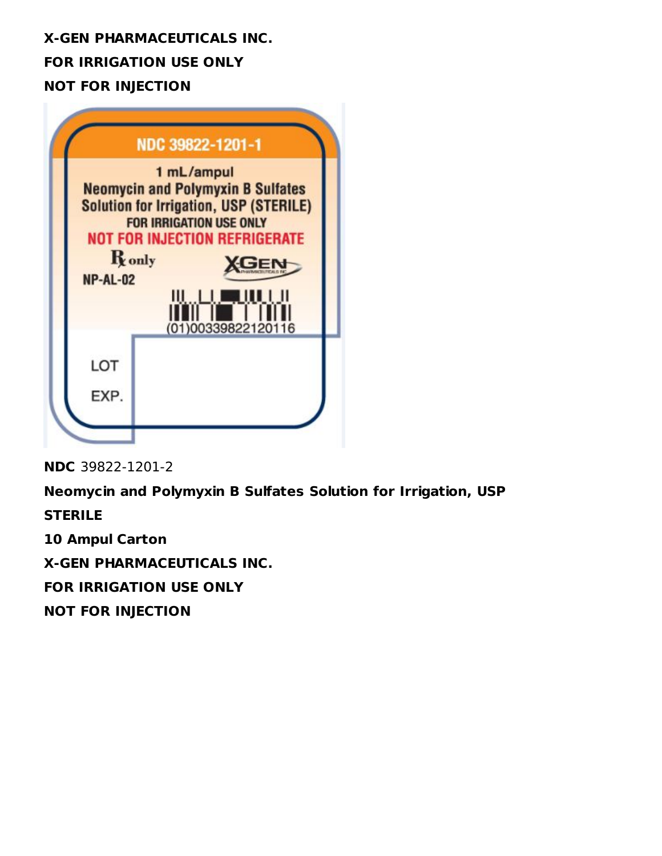# **X-GEN PHARMACEUTICALS INC. FOR IRRIGATION USE ONLY NOT FOR INJECTION**

|                           | NDC 39822-1201-1                                                                                                                                                                                                                |  |
|---------------------------|---------------------------------------------------------------------------------------------------------------------------------------------------------------------------------------------------------------------------------|--|
| <b>R</b> only<br>NP-AL-02 | 1 mL/ampul<br><b>Neomycin and Polymyxin B Sulfates</b><br><b>Solution for Irrigation, USP (STERILE)</b><br><b>FOR IRRIGATION USE ONLY</b><br><b>NOT FOR INJECTION REFRIGERATE</b><br><mark>₩₩₩</mark> ₩₩₩<br>(01)00339822120116 |  |
| LOT<br>EXP.               |                                                                                                                                                                                                                                 |  |

**NDC** 39822-1201-2

**Neomycin and Polymyxin B Sulfates Solution for Irrigation, USP**

**STERILE**

**10 Ampul Carton**

**X-GEN PHARMACEUTICALS INC.**

**FOR IRRIGATION USE ONLY**

**NOT FOR INJECTION**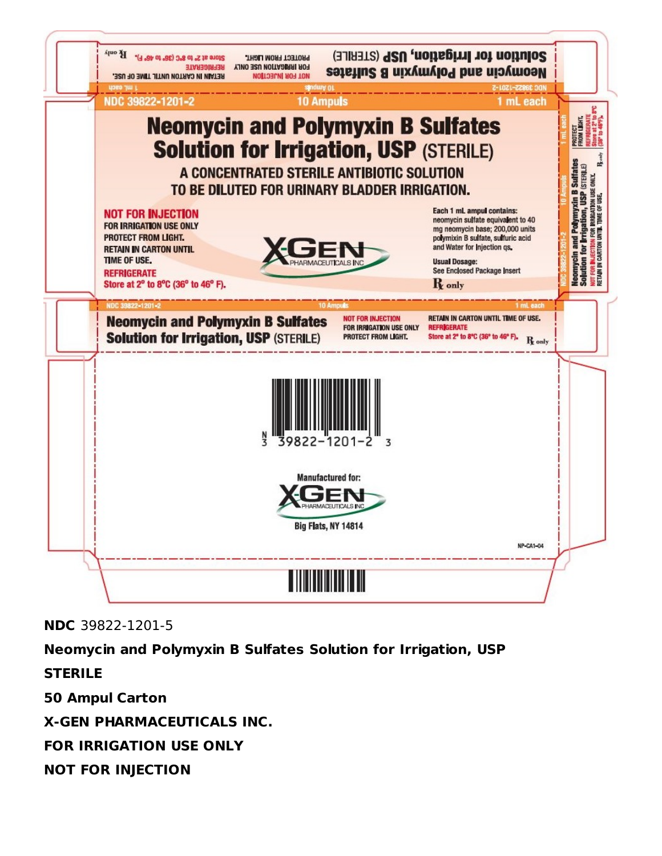

**NDC** 39822-1201-5

**Neomycin and Polymyxin B Sulfates Solution for Irrigation, USP**

**STERILE 50 Ampul Carton X-GEN PHARMACEUTICALS INC. FOR IRRIGATION USE ONLY NOT FOR INJECTION**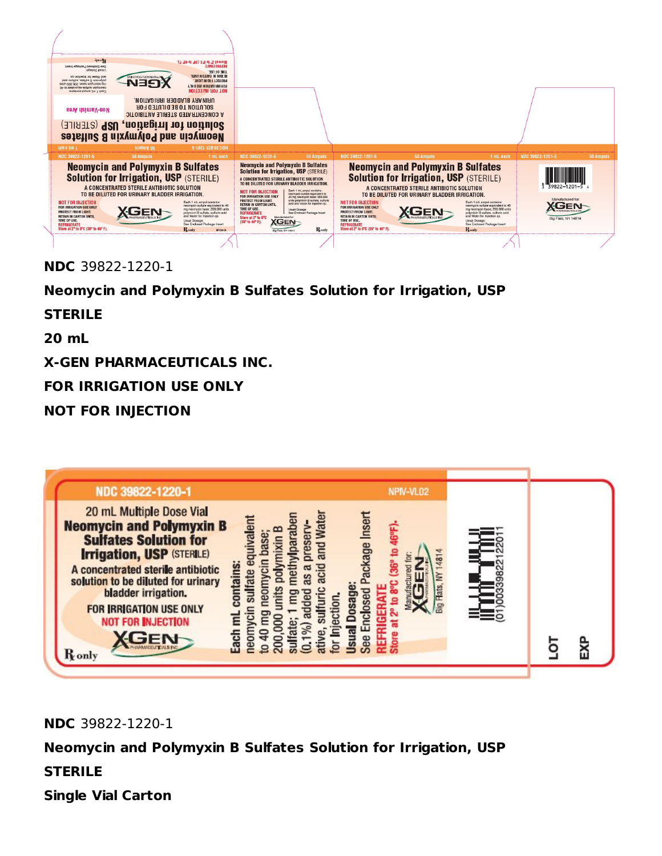

#### **NDC** 39822-1220-1

# **Neomycin and Polymyxin B Sulfates Solution for Irrigation, USP**

#### **STERILE**

**20 mL**

**X-GEN PHARMACEUTICALS INC.**

**FOR IRRIGATION USE ONLY**

## **NOT FOR INJECTION**



**NDC** 39822-1220-1

### **Neomycin and Polymyxin B Sulfates Solution for Irrigation, USP**

# **STERILE**

**Single Vial Carton**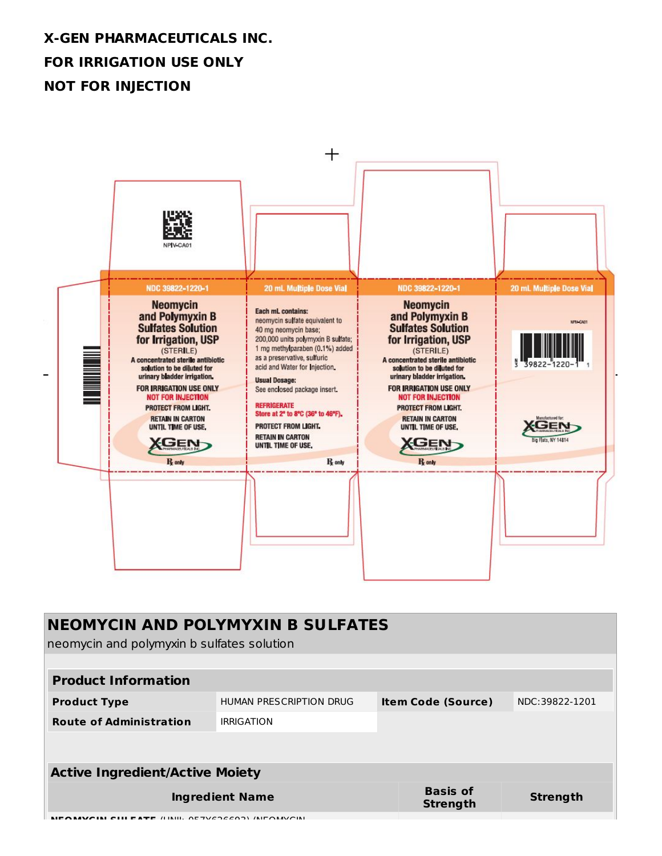# **X-GEN PHARMACEUTICALS INC. FOR IRRIGATION USE ONLY NOT FOR INJECTION**



| <b>NEOMYCIN AND POLYMYXIN B SULFATES</b><br>neomycin and polymyxin b sulfates solution |                         |  |                                    |                 |
|----------------------------------------------------------------------------------------|-------------------------|--|------------------------------------|-----------------|
| <b>Product Information</b>                                                             |                         |  |                                    |                 |
| <b>Product Type</b>                                                                    | HUMAN PRESCRIPTION DRUG |  | <b>Item Code (Source)</b>          | NDC:39822-1201  |
| <b>Route of Administration</b>                                                         | <b>IRRIGATION</b>       |  |                                    |                 |
|                                                                                        |                         |  |                                    |                 |
| <b>Active Ingredient/Active Moiety</b>                                                 |                         |  |                                    |                 |
| <b>Ingredient Name</b>                                                                 |                         |  | <b>Basis of</b><br><b>Strength</b> | <b>Strength</b> |
| <b>TE (LINII), OE TVEDEEDD), (NIFONAVOINI</b>                                          |                         |  |                                    |                 |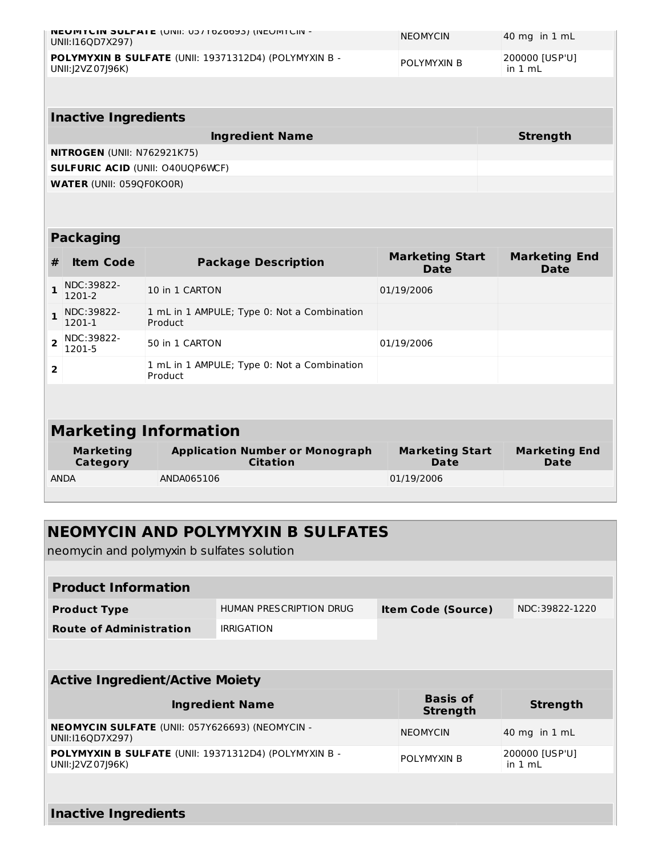| <b>NEUMTUIN SULFAIE (UNII: US/1020093) (INEUMTUIN -</b><br>UNII:I16QD7X297)  | <b>NEOMYCIN</b>    | $ 40 \text{ mg}$ in $1 \text{ mL}$ |
|------------------------------------------------------------------------------|--------------------|------------------------------------|
| POLYMYXIN B SULFATE (UNII: 19371312D4) (POLYMYXIN B -<br>UNII: J2VZ 07 J96K) | <b>POLYMYXIN B</b> | 200000 [USP'U]<br>in 1 mL          |
|                                                                              |                    |                                    |

| <b>Inactive Ingredients</b>             |          |  |  |  |
|-----------------------------------------|----------|--|--|--|
| <b>Ingredient Name</b>                  | Strength |  |  |  |
| <b>NITROGEN (UNII: N762921K75)</b>      |          |  |  |  |
| <b>SULFURIC ACID (UNII: 040UQP6WCF)</b> |          |  |  |  |
| <b>WATER (UNII: 059QF0KO0R)</b>         |          |  |  |  |

#### **Packaging**

| #                            | <b>Item Code</b>             | <b>Package Description</b>                                | <b>Marketing Start</b><br><b>Date</b> | <b>Marketing End</b><br><b>Date</b> |  |
|------------------------------|------------------------------|-----------------------------------------------------------|---------------------------------------|-------------------------------------|--|
|                              | NDC:39822-<br>1201-2         | 10 in 1 CARTON                                            | 01/19/2006                            |                                     |  |
|                              | NDC:39822-<br>1201-1         | 1 mL in 1 AMPULE; Type 0: Not a Combination<br>Product    |                                       |                                     |  |
| $\overline{2}$               | NDC:39822-<br>1201-5         | 50 in 1 CARTON                                            | 01/19/2006                            |                                     |  |
| $\overline{2}$               |                              | 1 mL in 1 AMPULE; Type 0: Not a Combination<br>Product    |                                       |                                     |  |
|                              |                              |                                                           |                                       |                                     |  |
| <b>Marketing Information</b> |                              |                                                           |                                       |                                     |  |
|                              | <b>Marketing</b><br>Category | <b>Application Number or Monograph</b><br><b>Citation</b> | <b>Marketing Start</b><br>Date        | <b>Marketing End</b><br>Date        |  |
|                              | <b>ANDA</b>                  | ANDA065106                                                | 01/19/2006                            |                                     |  |

# **NEOMYCIN AND POLYMYXIN B SULFATES**

neomycin and polymyxin b sulfates solution

| <b>Product Information</b>     |                         |                           |                |  |
|--------------------------------|-------------------------|---------------------------|----------------|--|
| <b>Product Type</b>            | HUMAN PRESCRIPTION DRUG | <b>Item Code (Source)</b> | NDC:39822-1220 |  |
| <b>Route of Administration</b> | <b>IRRIGATION</b>       |                           |                |  |
|                                |                         |                           |                |  |

POLYMYXIN B

**Strength**

200000 [USP'U] in 1 mL

#### **Active Ingredient/Active Moiety Ingredient Name Basis of Strength NEOMYCIN SULFATE** (UNII: 057Y626693) (NEOMYCIN - UNII:I16QD7X297) NEOMYCIN 40 mg in 1 mL

**POLYMYXIN B SULFATE** (UNII: 19371312D4) (POLYMYXIN B - UNII:J2VZ07J96K)

**Inactive Ingredients**